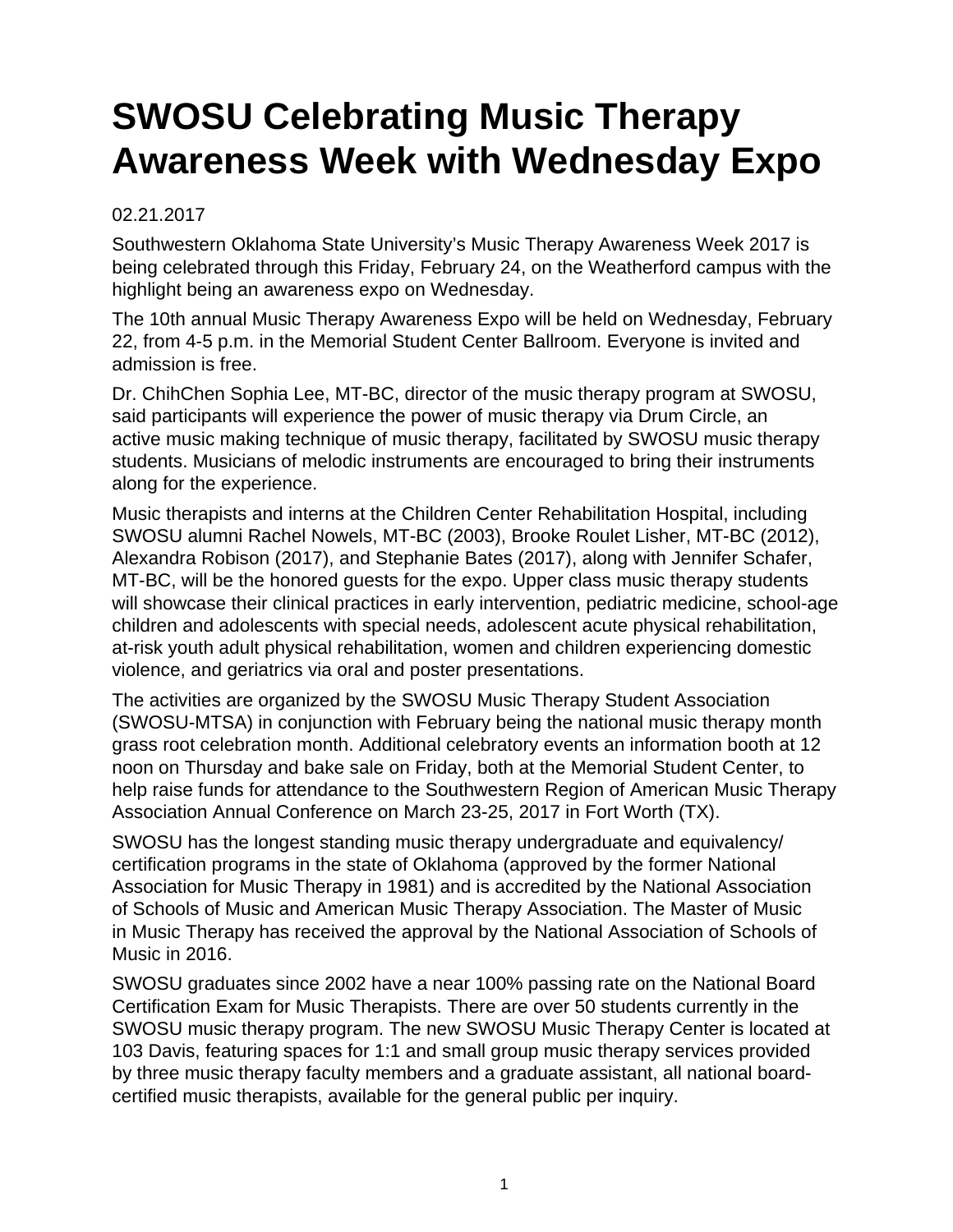## **SWOSU Celebrating Music Therapy Awareness Week with Wednesday Expo**

## 02.21.2017

Southwestern Oklahoma State University's Music Therapy Awareness Week 2017 is being celebrated through this Friday, February 24, on the Weatherford campus with the highlight being an awareness expo on Wednesday.

The 10th annual Music Therapy Awareness Expo will be held on Wednesday, February 22, from 4-5 p.m. in the Memorial Student Center Ballroom. Everyone is invited and admission is free.

Dr. ChihChen Sophia Lee, MT-BC, director of the music therapy program at SWOSU, said participants will experience the power of music therapy via Drum Circle, an active music making technique of music therapy, facilitated by SWOSU music therapy students. Musicians of melodic instruments are encouraged to bring their instruments along for the experience.

Music therapists and interns at the Children Center Rehabilitation Hospital, including SWOSU alumni Rachel Nowels, MT-BC (2003), Brooke Roulet Lisher, MT-BC (2012), Alexandra Robison (2017), and Stephanie Bates (2017), along with Jennifer Schafer, MT-BC, will be the honored guests for the expo. Upper class music therapy students will showcase their clinical practices in early intervention, pediatric medicine, school-age children and adolescents with special needs, adolescent acute physical rehabilitation, at-risk youth adult physical rehabilitation, women and children experiencing domestic violence, and geriatrics via oral and poster presentations.

The activities are organized by the SWOSU Music Therapy Student Association (SWOSU-MTSA) in conjunction with February being the national music therapy month grass root celebration month. Additional celebratory events an information booth at 12 noon on Thursday and bake sale on Friday, both at the Memorial Student Center, to help raise funds for attendance to the Southwestern Region of American Music Therapy Association Annual Conference on March 23-25, 2017 in Fort Worth (TX).

SWOSU has the longest standing music therapy undergraduate and equivalency/ certification programs in the state of Oklahoma (approved by the former National Association for Music Therapy in 1981) and is accredited by the National Association of Schools of Music and American Music Therapy Association. The Master of Music in Music Therapy has received the approval by the National Association of Schools of Music in 2016.

SWOSU graduates since 2002 have a near 100% passing rate on the National Board Certification Exam for Music Therapists. There are over 50 students currently in the SWOSU music therapy program. The new SWOSU Music Therapy Center is located at 103 Davis, featuring spaces for 1:1 and small group music therapy services provided by three music therapy faculty members and a graduate assistant, all national boardcertified music therapists, available for the general public per inquiry.